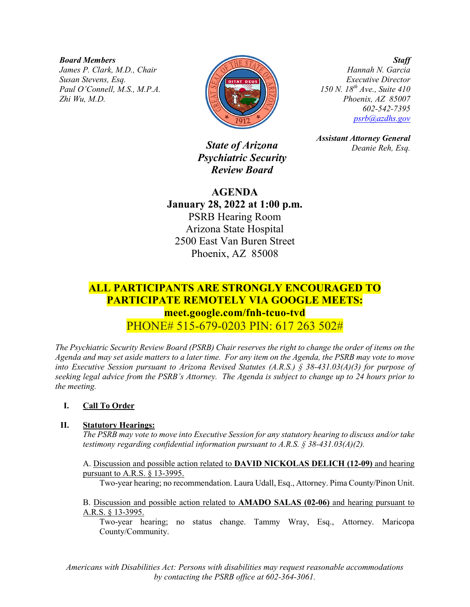*Board Members*

*James P. Clark, M.D., Chair Susan Stevens, Esq. Paul O'Connell, M.S., M.P.A. Zhi Wu, M.D.*



*Executive Director*

*State of Arizona Psychiatric Security Review Board*

**AGENDA January 28, 2022 at 1:00 p.m.** PSRB Hearing Room Arizona State Hospital 2500 East Van Buren Street Phoenix, AZ 85008

# *150 N. 18th Ave., Suite 410 Phoenix, AZ 85007 602-542-7395 [psrb@azdhs.gov](mailto:psrb@azdhs.gov)*

*Hannah N. Garcia*

*Staff*

*Assistant Attorney General Deanie Reh, Esq.*

# **ALL PARTICIPANTS ARE STRONGLY ENCOURAGED TO PARTICIPATE REMOTELY VIA GOOGLE MEETS: meet.google.com/fnh-tcuo-tvd** PHONE# 515-679-0203 PIN: 617 263 502#

*The Psychiatric Security Review Board (PSRB) Chair reserves the right to change the order of items on the Agenda and may set aside matters to a later time. For any item on the Agenda, the PSRB may vote to move into Executive Session pursuant to Arizona Revised Statutes (A.R.S.) § 38-431.03(A)(3) for purpose of seeking legal advice from the PSRB's Attorney. The Agenda is subject to change up to 24 hours prior to the meeting.*

### **I. Call To Order**

#### **II. Statutory Hearings:**

*The PSRB may vote to move into Executive Session for any statutory hearing to discuss and/or take testimony regarding confidential information pursuant to A.R.S. § 38-431.03(A)(2).* 

A. Discussion and possible action related to **DAVID NICKOLAS DELICH (12-09)** and hearing pursuant to A.R.S. § 13-3995.

Two-year hearing; no recommendation. Laura Udall, Esq., Attorney. Pima County/Pinon Unit.

B. Discussion and possible action related to **AMADO SALAS (02-06)** and hearing pursuant to A.R.S. § 13-3995.

Two-year hearing; no status change. Tammy Wray, Esq., Attorney. Maricopa County/Community.

*Americans with Disabilities Act: Persons with disabilities may request reasonable accommodations by contacting the PSRB office at 602-364-3061.*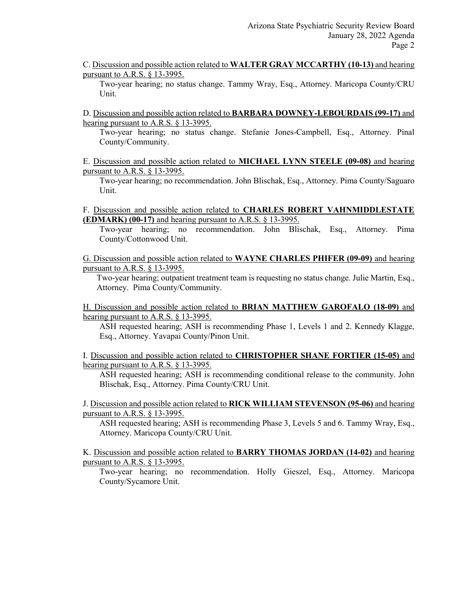C. Discussion and possible action related to **WALTER GRAY MCCARTHY (10-13)** and hearing pursuant to A.R.S. § 13-3995.

Two-year hearing; no status change. Tammy Wray, Esq., Attorney. Maricopa County/CRU Unit.

D. Discussion and possible action related to **BARBARA DOWNEY-LEBOURDAIS (99-17)** and hearing pursuant to A.R.S. § 13-3995.

Two-year hearing; no status change. Stefanie Jones-Campbell, Esq., Attorney. Pinal County/Community.

E. Discussion and possible action related to **MICHAEL LYNN STEELE (09-08)** and hearing pursuant to A.R.S. § 13-3995.

Two-year hearing; no recommendation. John Blischak, Esq., Attorney. Pima County/Saguaro Unit.

F. Discussion and possible action related to **CHARLES ROBERT VAHNMIDDLESTATE (EDMARK) (00-17)** and hearing pursuant to A.R.S. § 13-3995.

Two-year hearing; no recommendation. John Blischak, Esq., Attorney. Pima County/Cottonwood Unit.

G. Discussion and possible action related to **WAYNE CHARLES PHIFER (09-09)** and hearing pursuant to A.R.S. § 13-3995.

Two-year hearing; outpatient treatment team is requesting no status change. Julie Martin, Esq., Attorney. Pima County/Community.

H. Discussion and possible action related to **BRIAN MATTHEW GAROFALO (18-09)** and hearing pursuant to A.R.S. § 13-3995.

ASH requested hearing; ASH is recommending Phase 1, Levels 1 and 2. Kennedy Klagge, Esq., Attorney. Yavapai County/Pinon Unit.

I. Discussion and possible action related to **CHRISTOPHER SHANE FORTIER (15-05)** and hearing pursuant to A.R.S. § 13-3995.

ASH requested hearing; ASH is recommending conditional release to the community. John Blischak, Esq., Attorney. Pima County/CRU Unit.

J. Discussion and possible action related to **RICK WILLIAM STEVENSON (95-06)** and hearing pursuant to A.R.S. § 13-3995.

ASH requested hearing; ASH is recommending Phase 3, Levels 5 and 6. Tammy Wray, Esq., Attorney. Maricopa County/CRU Unit.

K. Discussion and possible action related to **BARRY THOMAS JORDAN (14-02)** and hearing pursuant to A.R.S. § 13-3995.

Two-year hearing; no recommendation. Holly Gieszel, Esq., Attorney. Maricopa County/Sycamore Unit.